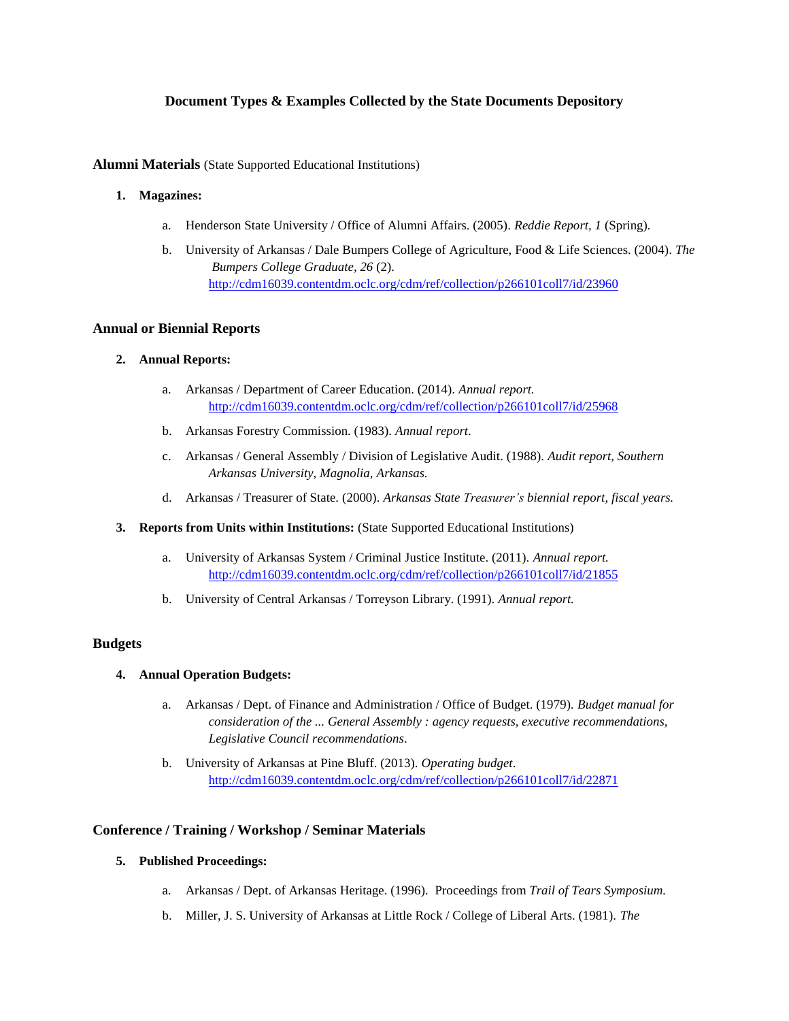# **Document Types & Examples Collected by the State Documents Depository**

### **Alumni Materials** (State Supported Educational Institutions)

### **1. Magazines:**

- a. Henderson State University / Office of Alumni Affairs. (2005). *Reddie Report, 1* (Spring)*.*
- b. University of Arkansas / Dale Bumpers College of Agriculture, Food & Life Sciences. (2004). *The Bumpers College Graduate, 26* (2). <http://cdm16039.contentdm.oclc.org/cdm/ref/collection/p266101coll7/id/23960>

# **Annual or Biennial Reports**

### **2. Annual Reports:**

- a. Arkansas / Department of Career Education. (2014). *Annual report.*  <http://cdm16039.contentdm.oclc.org/cdm/ref/collection/p266101coll7/id/25968>
- b. Arkansas Forestry Commission. (1983). *Annual report*.
- c. Arkansas / General Assembly / Division of Legislative Audit. (1988). *Audit report, Southern Arkansas University, Magnolia, Arkansas.*
- d. Arkansas / Treasurer of State. (2000). *Arkansas State Treasurer's biennial report, fiscal years.*

### **3. Reports from Units within Institutions:** (State Supported Educational Institutions)

- a. University of Arkansas System / Criminal Justice Institute. (2011). *Annual report.*  <http://cdm16039.contentdm.oclc.org/cdm/ref/collection/p266101coll7/id/21855>
- b. University of Central Arkansas / Torreyson Library. (1991). *Annual report.*

# **Budgets**

# **4. Annual Operation Budgets:**

- a. Arkansas / Dept. of Finance and Administration / Office of Budget. (1979). *Budget manual for consideration of the ... General Assembly : agency requests, executive recommendations, Legislative Council recommendations*.
- b. University of Arkansas at Pine Bluff. (2013). *Operating budget*. <http://cdm16039.contentdm.oclc.org/cdm/ref/collection/p266101coll7/id/22871>

# **Conference / Training / Workshop / Seminar Materials**

# **5. Published Proceedings:**

- a. Arkansas / Dept. of Arkansas Heritage. (1996). Proceedings from *Trail of Tears Symposium.*
- b. Miller, J. S. University of Arkansas at Little Rock / College of Liberal Arts. (1981). *The*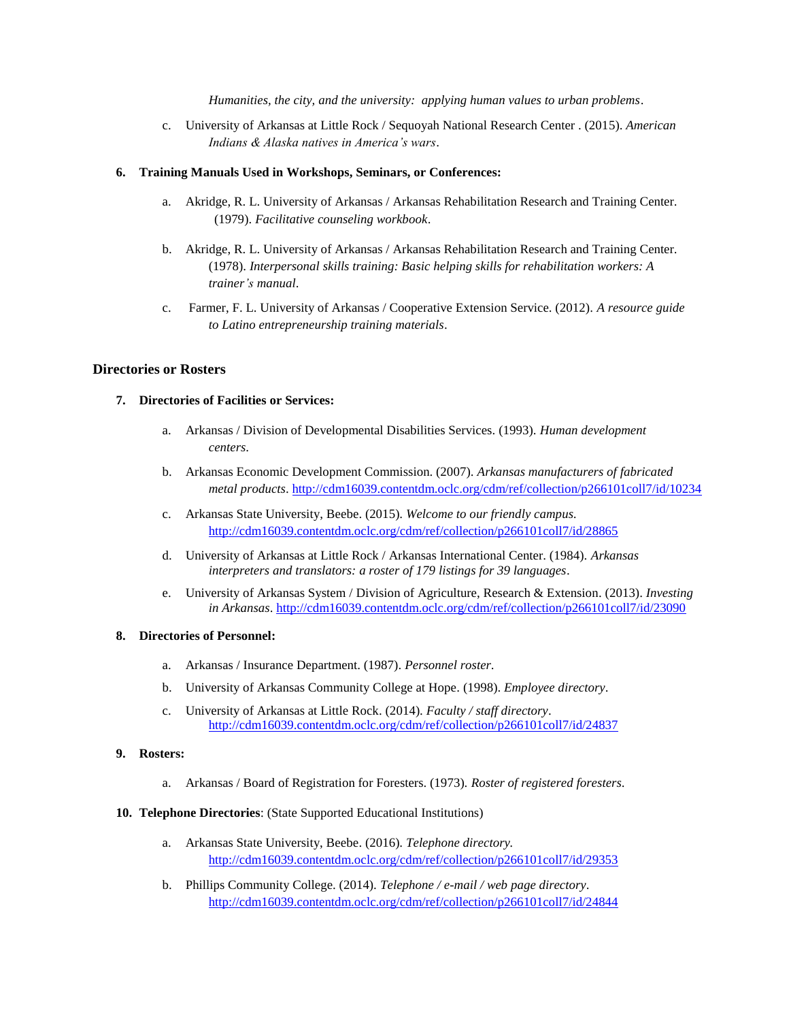*Humanities, the city, and the university: applying human values to urban problems*.

c. University of Arkansas at Little Rock / Sequoyah National Research Center . (2015). *American Indians & Alaska natives in America's wars*.

#### **6. Training Manuals Used in Workshops, Seminars, or Conferences:**

- a. Akridge, R. L. University of Arkansas / Arkansas Rehabilitation Research and Training Center. (1979). *Facilitative counseling workbook*.
- b. Akridge, R. L. University of Arkansas / Arkansas Rehabilitation Research and Training Center. (1978). *Interpersonal skills training: Basic helping skills for rehabilitation workers: A trainer's manual*.
- c. Farmer, F. L. University of Arkansas / Cooperative Extension Service. (2012). *A resource guide to Latino entrepreneurship training materials*.

# **Directories or Rosters**

#### **7. Directories of Facilities or Services:**

- a. Arkansas / Division of Developmental Disabilities Services. (1993). *Human development centers*.
- b. Arkansas Economic Development Commission. (2007). *Arkansas manufacturers of fabricated metal products*[. http://cdm16039.contentdm.oclc.org/cdm/ref/collection/p266101coll7/id/10234](http://cdm16039.contentdm.oclc.org/cdm/ref/collection/p266101coll7/id/10234)
- c. Arkansas State University, Beebe. (2015). *Welcome to our friendly campus.*  <http://cdm16039.contentdm.oclc.org/cdm/ref/collection/p266101coll7/id/28865>
- d. University of Arkansas at Little Rock / Arkansas International Center. (1984). *Arkansas interpreters and translators: a roster of 179 listings for 39 languages*.
- e. University of Arkansas System / Division of Agriculture, Research & Extension. (2013). *Investing in Arkansas*[. http://cdm16039.contentdm.oclc.org/cdm/ref/collection/p266101coll7/id/23090](http://cdm16039.contentdm.oclc.org/cdm/ref/collection/p266101coll7/id/23090)

### **8. Directories of Personnel:**

- a. Arkansas / Insurance Department. (1987). *Personnel roster*.
- b. University of Arkansas Community College at Hope. (1998). *Employee directory*.
- c. University of Arkansas at Little Rock. (2014). *Faculty / staff directory*. <http://cdm16039.contentdm.oclc.org/cdm/ref/collection/p266101coll7/id/24837>

#### **9. Rosters:**

a. Arkansas / Board of Registration for Foresters. (1973). *Roster of registered foresters*.

#### **10. Telephone Directories**: (State Supported Educational Institutions)

- a. Arkansas State University, Beebe. (2016). *Telephone directory.*  <http://cdm16039.contentdm.oclc.org/cdm/ref/collection/p266101coll7/id/29353>
- b. Phillips Community College. (2014). *Telephone / e-mail / web page directory*. <http://cdm16039.contentdm.oclc.org/cdm/ref/collection/p266101coll7/id/24844>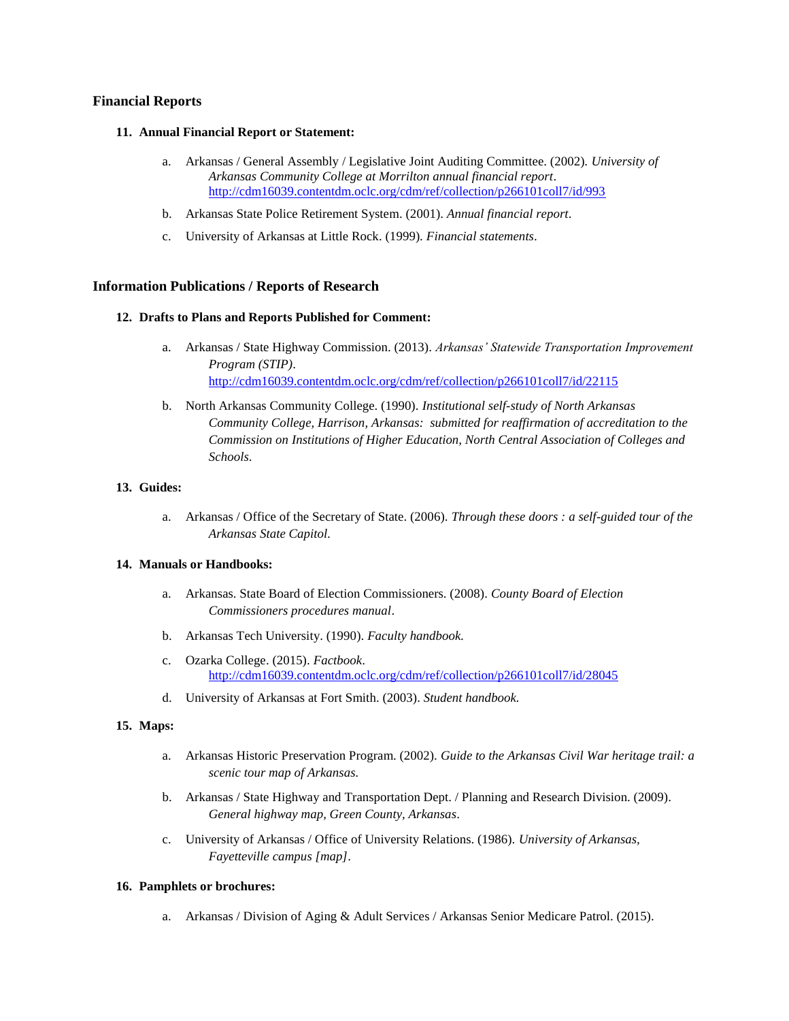### **Financial Reports**

### **11. Annual Financial Report or Statement:**

- a. Arkansas / General Assembly / Legislative Joint Auditing Committee. (2002). *University of Arkansas Community College at Morrilton annual financial report*. <http://cdm16039.contentdm.oclc.org/cdm/ref/collection/p266101coll7/id/993>
- b. Arkansas State Police Retirement System. (2001). *Annual financial report*.
- c. University of Arkansas at Little Rock. (1999). *Financial statements*.

### **Information Publications / Reports of Research**

### **12. Drafts to Plans and Reports Published for Comment:**

- a. Arkansas / State Highway Commission. (2013). *Arkansas' Statewide Transportation Improvement Program (STIP)*. <http://cdm16039.contentdm.oclc.org/cdm/ref/collection/p266101coll7/id/22115>
- b. North Arkansas Community College. (1990). *Institutional self-study of North Arkansas Community College, Harrison, Arkansas: submitted for reaffirmation of accreditation to the Commission on Institutions of Higher Education, North Central Association of Colleges and Schools*.

### **13. Guides:**

a. Arkansas / Office of the Secretary of State. (2006). *Through these doors : a self-guided tour of the Arkansas State Capitol.*

### **14. Manuals or Handbooks:**

- a. Arkansas. State Board of Election Commissioners. (2008). *County Board of Election Commissioners procedures manual*.
- b. Arkansas Tech University. (1990). *Faculty handbook.*
- c. Ozarka College. (2015). *Factbook*. <http://cdm16039.contentdm.oclc.org/cdm/ref/collection/p266101coll7/id/28045>
- d. University of Arkansas at Fort Smith. (2003). *Student handbook.*

#### **15. Maps:**

- a. Arkansas Historic Preservation Program. (2002). *Guide to the Arkansas Civil War heritage trail: a scenic tour map of Arkansas.*
- b. Arkansas / State Highway and Transportation Dept. / Planning and Research Division. (2009). *General highway map, Green County, Arkansas*.
- c. University of Arkansas / Office of University Relations. (1986). *University of Arkansas, Fayetteville campus [map]*.

### **16. Pamphlets or brochures:**

a. Arkansas / Division of Aging & Adult Services / Arkansas Senior Medicare Patrol. (2015).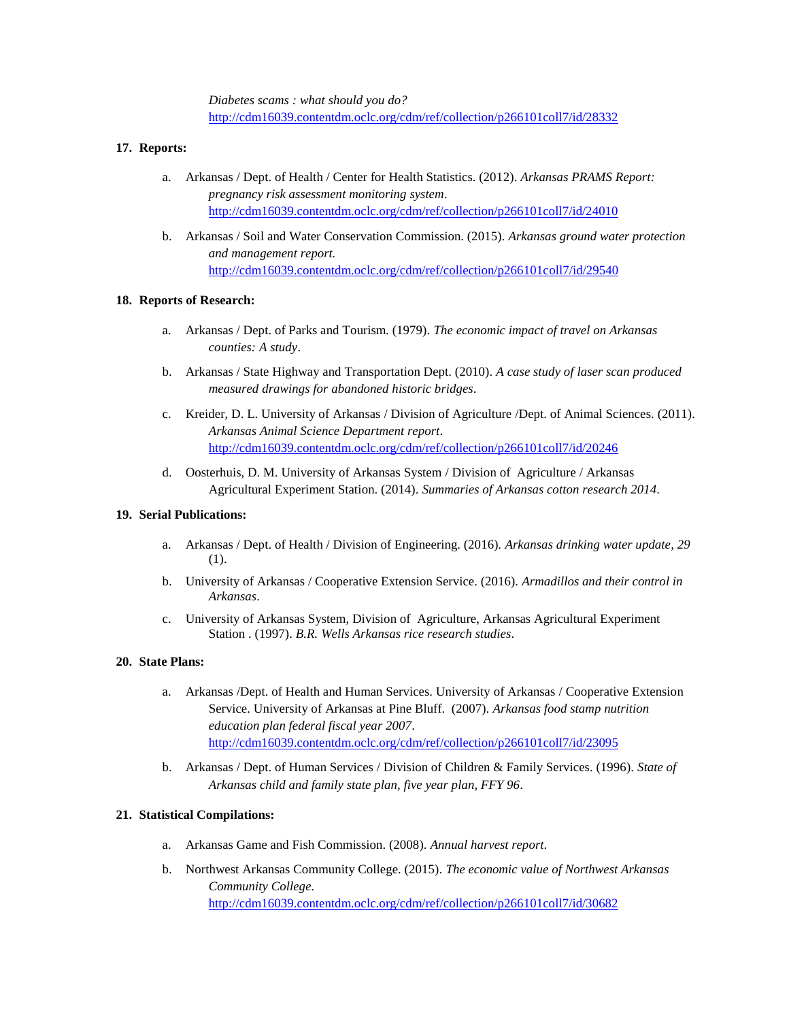*Diabetes scams : what should you do?* <http://cdm16039.contentdm.oclc.org/cdm/ref/collection/p266101coll7/id/28332>

### **17. Reports:**

- a. Arkansas / Dept. of Health / Center for Health Statistics. (2012). *Arkansas PRAMS Report: pregnancy risk assessment monitoring system*. <http://cdm16039.contentdm.oclc.org/cdm/ref/collection/p266101coll7/id/24010>
- b. Arkansas / Soil and Water Conservation Commission. (2015). *Arkansas ground water protection and management report.* <http://cdm16039.contentdm.oclc.org/cdm/ref/collection/p266101coll7/id/29540>

### **18. Reports of Research:**

- a. Arkansas / Dept. of Parks and Tourism. (1979). *The economic impact of travel on Arkansas counties: A study*.
- b. Arkansas / State Highway and Transportation Dept. (2010). *A case study of laser scan produced measured drawings for abandoned historic bridges*.
- c. Kreider, D. L. University of Arkansas / Division of Agriculture /Dept. of Animal Sciences. (2011). *Arkansas Animal Science Department report*. <http://cdm16039.contentdm.oclc.org/cdm/ref/collection/p266101coll7/id/20246>
- d. Oosterhuis, D. M. University of Arkansas System / Division of Agriculture / Arkansas Agricultural Experiment Station. (2014). *Summaries of Arkansas cotton research 2014*.

### **19. Serial Publications:**

- a. Arkansas / Dept. of Health / Division of Engineering. (2016). *Arkansas drinking water update, 29*  (1).
- b. University of Arkansas / Cooperative Extension Service. (2016). *Armadillos and their control in Arkansas*.
- c. University of Arkansas System, Division of Agriculture, Arkansas Agricultural Experiment Station . (1997). *B.R. Wells Arkansas rice research studies*.

# **20. State Plans:**

- a. Arkansas /Dept. of Health and Human Services. University of Arkansas / Cooperative Extension Service. University of Arkansas at Pine Bluff. (2007). *Arkansas food stamp nutrition education plan federal fiscal year 2007*. <http://cdm16039.contentdm.oclc.org/cdm/ref/collection/p266101coll7/id/23095>
- b. Arkansas / Dept. of Human Services / Division of Children & Family Services. (1996). *State of Arkansas child and family state plan, five year plan, FFY 96.*

# **21. Statistical Compilations:**

- a. Arkansas Game and Fish Commission. (2008). *Annual harvest report*.
- b. Northwest Arkansas Community College. (2015). *The economic value of Northwest Arkansas Community College.*  <http://cdm16039.contentdm.oclc.org/cdm/ref/collection/p266101coll7/id/30682>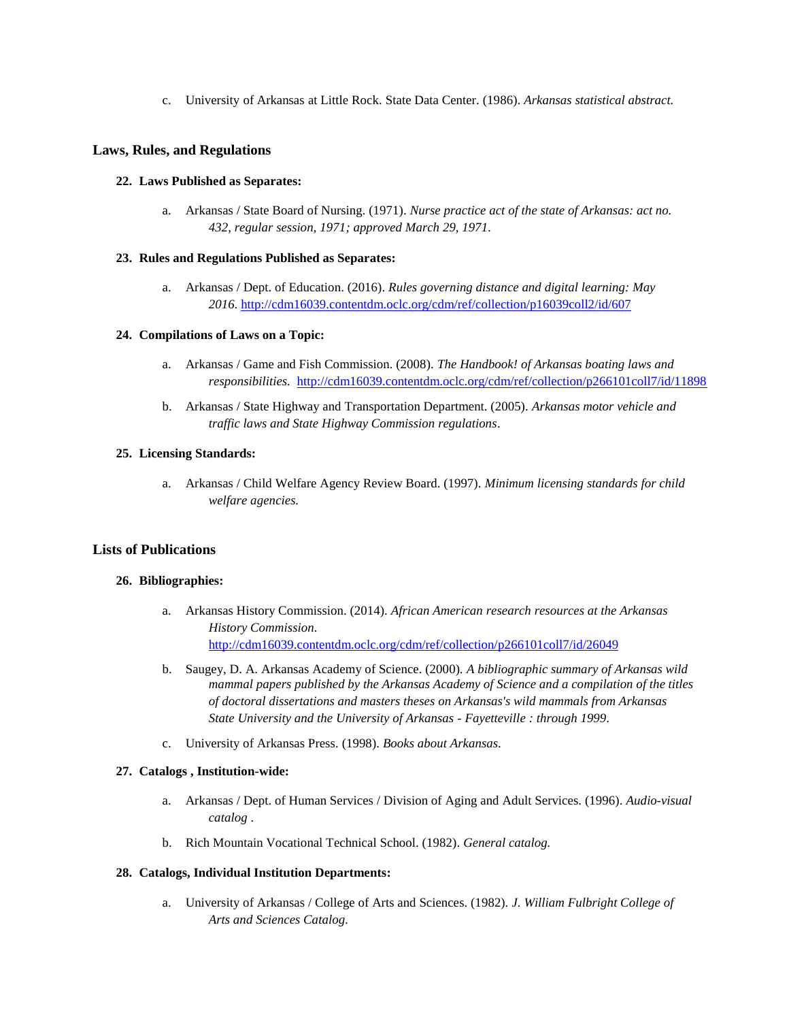c. University of Arkansas at Little Rock. State Data Center. (1986). *Arkansas statistical abstract.*

# **Laws, Rules, and Regulations**

# **22. Laws Published as Separates:**

a. Arkansas / State Board of Nursing. (1971). *Nurse practice act of the state of Arkansas: act no. 432, regular session, 1971; approved March 29, 1971.*

### **23. Rules and Regulations Published as Separates:**

a. Arkansas / Dept. of Education. (2016). *Rules governing distance and digital learning: May 2016.* <http://cdm16039.contentdm.oclc.org/cdm/ref/collection/p16039coll2/id/607>

### **24. Compilations of Laws on a Topic:**

- a. Arkansas / Game and Fish Commission. (2008). *The Handbook! of Arkansas boating laws and responsibilities.* <http://cdm16039.contentdm.oclc.org/cdm/ref/collection/p266101coll7/id/11898>
- b. Arkansas / State Highway and Transportation Department. (2005). *Arkansas motor vehicle and traffic laws and State Highway Commission regulations*.

# **25. Licensing Standards:**

a. Arkansas / Child Welfare Agency Review Board. (1997). *Minimum licensing standards for child welfare agencies.*

# **Lists of Publications**

# **26. Bibliographies:**

- a. Arkansas History Commission. (2014). *African American research resources at the Arkansas History Commission.*  <http://cdm16039.contentdm.oclc.org/cdm/ref/collection/p266101coll7/id/26049>
- b. Saugey, D. A. Arkansas Academy of Science. (2000). *A bibliographic summary of Arkansas wild mammal papers published by the Arkansas Academy of Science and a compilation of the titles of doctoral dissertations and masters theses on Arkansas's wild mammals from Arkansas State University and the University of Arkansas - Fayetteville : through 1999.*
- c. University of Arkansas Press. (1998). *Books about Arkansas*.

### **27. Catalogs , Institution-wide:**

- a. Arkansas / Dept. of Human Services / Division of Aging and Adult Services. (1996). *Audio-visual catalog* .
- b. Rich Mountain Vocational Technical School. (1982). *General catalog.*

# **28. Catalogs, Individual Institution Departments:**

a. University of Arkansas / College of Arts and Sciences. (1982). *J. William Fulbright College of Arts and Sciences Catalog.*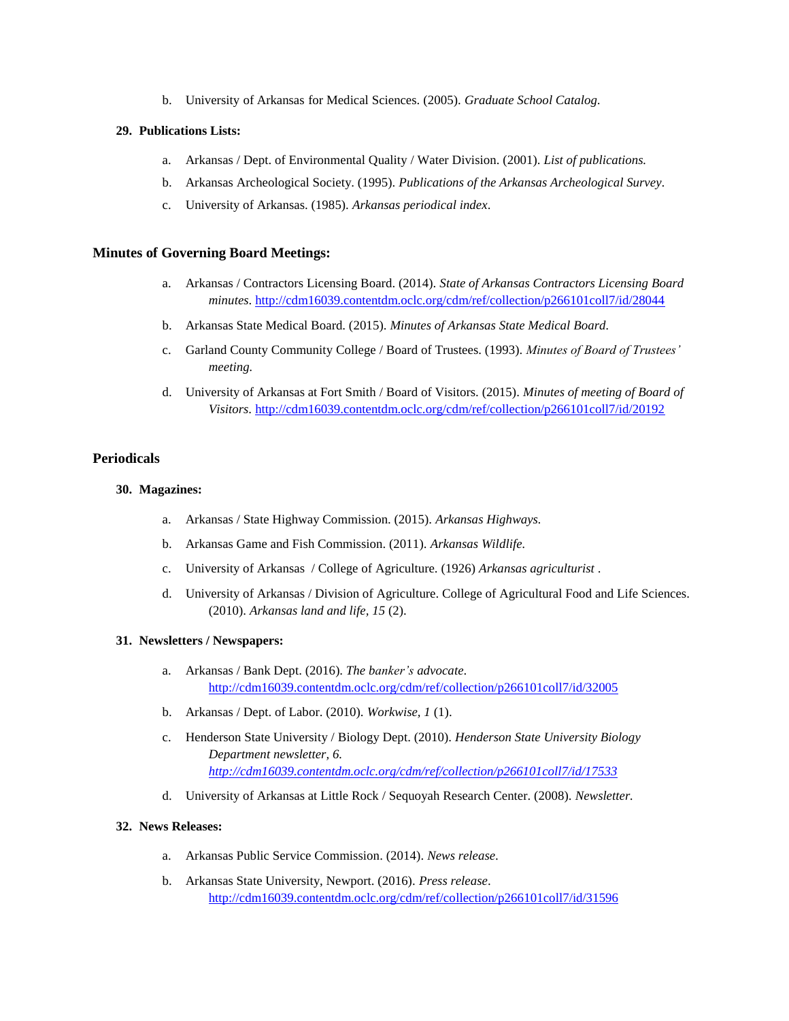b. University of Arkansas for Medical Sciences. (2005). *Graduate School Catalog.*

### **29. Publications Lists:**

- a. Arkansas / Dept. of Environmental Quality / Water Division. (2001). *List of publications.*
- b. Arkansas Archeological Society. (1995). *Publications of the Arkansas Archeological Survey.*
- c. University of Arkansas. (1985). *Arkansas periodical index*.

### **Minutes of Governing Board Meetings:**

- a. Arkansas / Contractors Licensing Board. (2014). *State of Arkansas Contractors Licensing Board minutes*.<http://cdm16039.contentdm.oclc.org/cdm/ref/collection/p266101coll7/id/28044>
- b. Arkansas State Medical Board. (2015). *Minutes of Arkansas State Medical Board.*
- c. Garland County Community College / Board of Trustees. (1993). *Minutes of Board of Trustees' meeting.*
- d. University of Arkansas at Fort Smith / Board of Visitors. (2015). *Minutes of meeting of Board of Visitors*. <http://cdm16039.contentdm.oclc.org/cdm/ref/collection/p266101coll7/id/20192>

# **Periodicals**

### **30. Magazines:**

- a. Arkansas / State Highway Commission. (2015). *Arkansas Highways.*
- b. Arkansas Game and Fish Commission. (2011). *Arkansas Wildlife.*
- c. University of Arkansas / College of Agriculture. (1926) *Arkansas agriculturist* .
- d. University of Arkansas / Division of Agriculture. College of Agricultural Food and Life Sciences. (2010). *Arkansas land and life, 15* (2).

### **31. Newsletters / Newspapers:**

- a. Arkansas / Bank Dept. (2016). *The banker's advocate*. <http://cdm16039.contentdm.oclc.org/cdm/ref/collection/p266101coll7/id/32005>
- b. Arkansas / Dept. of Labor. (2010). *Workwise, 1* (1).
- c. Henderson State University / Biology Dept. (2010). *Henderson State University Biology Department newsletter, 6. <http://cdm16039.contentdm.oclc.org/cdm/ref/collection/p266101coll7/id/17533>*
- d. University of Arkansas at Little Rock / Sequoyah Research Center. (2008). *Newsletter.*

### **32. News Releases:**

- a. Arkansas Public Service Commission. (2014). *News release.*
- b. Arkansas State University, Newport. (2016). *Press release*. <http://cdm16039.contentdm.oclc.org/cdm/ref/collection/p266101coll7/id/31596>